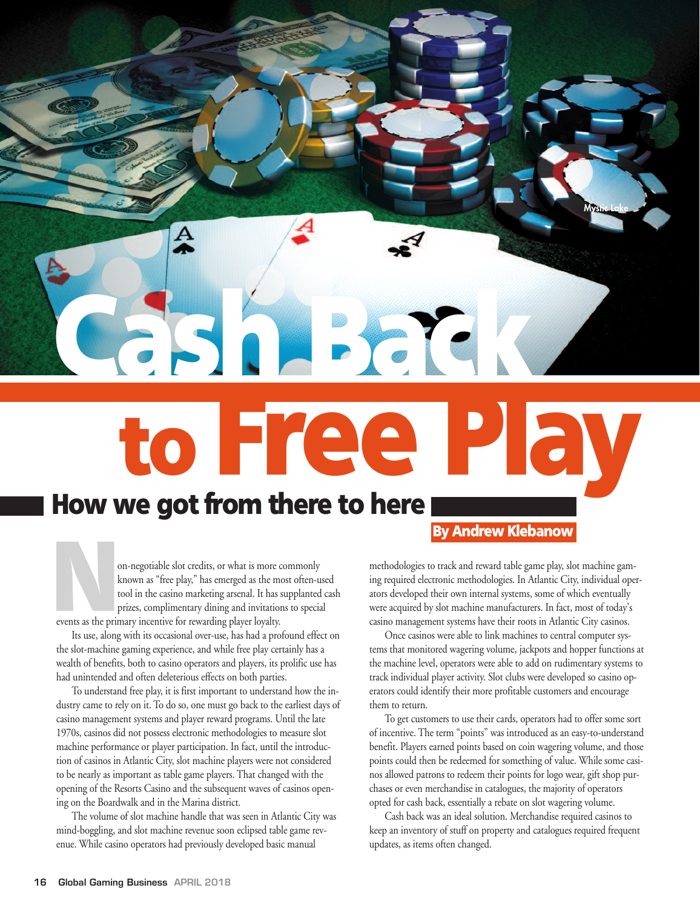**to Free Play How** we got from there to here By Andrew Klebanow

**Cash Back** 

**Mystic Lake**

on-negotiable slot credits, or what is more commonly known as "free play," has emerged as the most often-used tool in the casino marketing arsenal. It has supplanted cash prizes, complimentary dining and invitations to special events as the primary incentive for rewarding player loyalty.

Its use, along with its occasional over-use, has had a profound effect on the slot-machine gaming experience, and while free play certainly has a wealth of benefits, both to casino operators and players, its prolific use has had unintended and often deleterious effects on both parties.

To understand free play, it is first important to understand how the industry came to rely on it. To do so, one must go back to the earliest days of casino management systems and player reward programs. Until the late 1970s, casinos did not possess electronic methodologies to measure slot machine performance or player participation. In fact, until the introduction of casinos in Atlantic City, slot machine players were not considered to be nearly as important as table game players. That changed with the opening of the Resorts Casino and the subsequent waves of casinos opening on the Boardwalk and in the Marina district.

The volume of slot machine handle that was seen in Atlantic City was mind-boggling, and slot machine revenue soon eclipsed table game revenue. While casino operators had previously developed basic manual

methodologies to track and reward table game play, slot machine gaming required electronic methodologies. In Atlantic City, individual operators developed their own internal systems, some of which eventually were acquired by slot machine manufacturers. In fact, most of today's casino management systems have their roots in Atlantic City casinos.

Once casinos were able to link machines to central computer systems that monitored wagering volume, jackpots and hopper functions at the machine level, operators were able to add on rudimentary systems to track individual player activity. Slot clubs were developed so casino operators could identify their more profitable customers and encourage them to return.

To get customers to use their cards, operators had to offer some sort of incentive. The term "points" was introduced as an easy-to-understand benefit. Players earned points based on coin wagering volume, and those points could then be redeemed for something of value. While some casinos allowed patrons to redeem their points for logo wear, gift shop purchases or even merchandise in catalogues, the majority of operators opted for cash back, essentially a rebate on slot wagering volume.

Cash back was an ideal solution. Merchandise required casinos to keep an inventory of stuff on property and catalogues required frequent updates, as items often changed.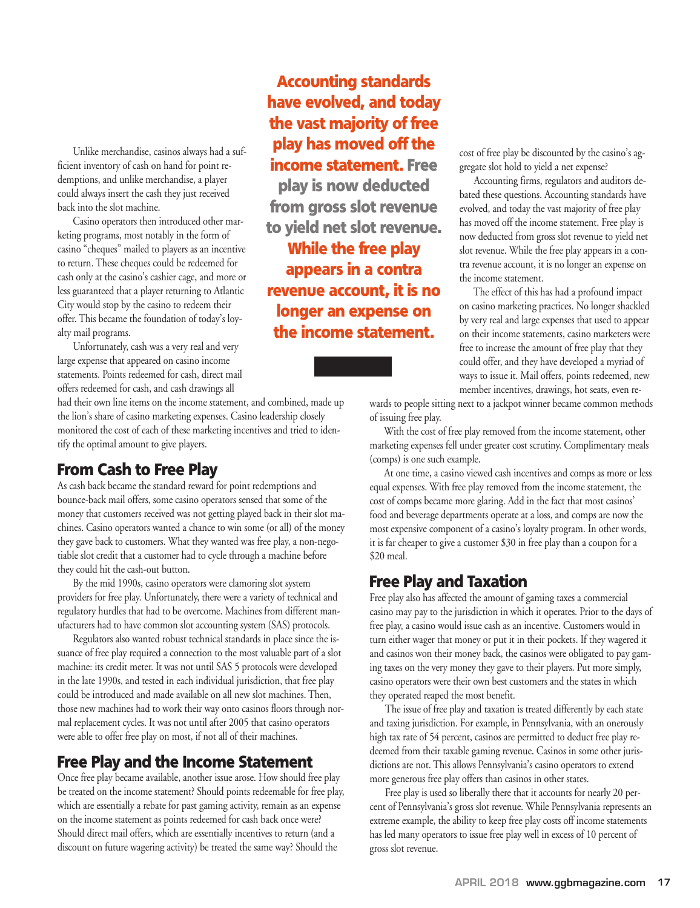Unlike merchandise, casinos always had a sufficient inventory of cash on hand for point redemptions, and unlike merchandise, a player could always insert the cash they just received back into the slot machine.

Casino operators then introduced other marketing programs, most notably in the form of casino "cheques" mailed to players as an incentive to return. These cheques could be redeemed for cash only at the casino's cashier cage, and more or less guaranteed that a player returning to Atlantic City would stop by the casino to redeem their offer. This became the foundation of today's loyalty mail programs.

Unfortunately, cash was a very real and very large expense that appeared on casino income statements. Points redeemed for cash, direct mail offers redeemed for cash, and cash drawings all

had their own line items on the income statement, and combined, made up the lion's share of casino marketing expenses. Casino leadership closely monitored the cost of each of these marketing incentives and tried to identify the optimal amount to give players.

#### **From Cash to Free Play**

As cash back became the standard reward for point redemptions and bounce-back mail offers, some casino operators sensed that some of the money that customers received was not getting played back in their slot machines. Casino operators wanted a chance to win some (or all) of the money they gave back to customers. What they wanted was free play, a non-negotiable slot credit that a customer had to cycle through a machine before they could hit the cash-out button.

By the mid 1990s, casino operators were clamoring slot system providers for free play. Unfortunately, there were a variety of technical and regulatory hurdles that had to be overcome. Machines from different manufacturers had to have common slot accounting system (SAS) protocols.

Regulators also wanted robust technical standards in place since the issuance of free play required a connection to the most valuable part of a slot machine: its credit meter. It was not until SAS 5 protocols were developed in the late 1990s, and tested in each individual jurisdiction, that free play could be introduced and made available on all new slot machines. Then, those new machines had to work their way onto casinos floors through normal replacement cycles. It was not until after 2005 that casino operators were able to offer free play on most, if not all of their machines.

## **Free Play and the Income Statement**

Once free play became available, another issue arose. How should free play be treated on the income statement? Should points redeemable for free play, which are essentially a rebate for past gaming activity, remain as an expense on the income statement as points redeemed for cash back once were? Should direct mail offers, which are essentially incentives to return (and a discount on future wagering activity) be treated the same way? Should the

**Accounting standards have evolved, and today the vast majority of free play has moved off the income statement. Free play is now deducted from gross slot revenue to yield net slot revenue. While the free play appears in a contra revenue account, it is no longer an expense on the income statement.**

cost of free play be discounted by the casino's aggregate slot hold to yield a net expense?

Accounting firms, regulators and auditors debated these questions. Accounting standards have evolved, and today the vast majority of free play has moved off the income statement. Free play is now deducted from gross slot revenue to yield net slot revenue. While the free play appears in a contra revenue account, it is no longer an expense on the income statement.

The effect of this has had a profound impact on casino marketing practices. No longer shackled by very real and large expenses that used to appear on their income statements, casino marketers were free to increase the amount of free play that they could offer, and they have developed a myriad of ways to issue it. Mail offers, points redeemed, new member incentives, drawings, hot seats, even re-

wards to people sitting next to a jackpot winner became common methods of issuing free play.

With the cost of free play removed from the income statement, other marketing expenses fell under greater cost scrutiny. Complimentary meals (comps) is one such example.

At one time, a casino viewed cash incentives and comps as more or less equal expenses. With free play removed from the income statement, the cost of comps became more glaring. Add in the fact that most casinos' food and beverage departments operate at a loss, and comps are now the most expensive component of a casino's loyalty program. In other words, it is far cheaper to give a customer \$30 in free play than a coupon for a \$20 meal.

## **Free Play and Taxation**

Free play also has affected the amount of gaming taxes a commercial casino may pay to the jurisdiction in which it operates. Prior to the days of free play, a casino would issue cash as an incentive. Customers would in turn either wager that money or put it in their pockets. If they wagered it and casinos won their money back, the casinos were obligated to pay gaming taxes on the very money they gave to their players. Put more simply, casino operators were their own best customers and the states in which they operated reaped the most benefit.

The issue of free play and taxation is treated differently by each state and taxing jurisdiction. For example, in Pennsylvania, with an onerously high tax rate of 54 percent, casinos are permitted to deduct free play redeemed from their taxable gaming revenue. Casinos in some other jurisdictions are not. This allows Pennsylvania's casino operators to extend more generous free play offers than casinos in other states.

Free play is used so liberally there that it accounts for nearly 20 percent of Pennsylvania's gross slot revenue. While Pennsylvania represents an extreme example, the ability to keep free play costs off income statements has led many operators to issue free play well in excess of 10 percent of gross slot revenue.